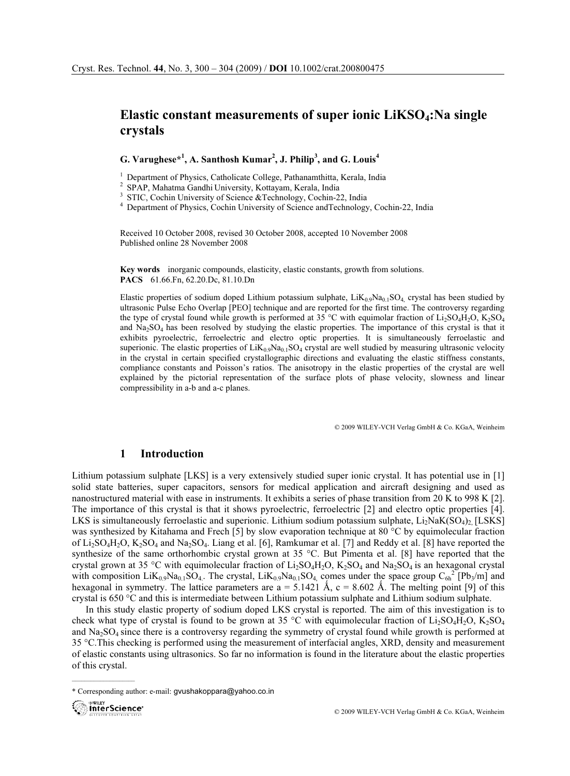# Elastic constant measurements of super ionic LiKSO<sup>4</sup>:Na single crystals

G. Varughese\*<sup>1</sup>, A. Santhosh Kumar<sup>2</sup>, J. Philip<sup>3</sup>, and G. Louis<sup>4</sup>

<sup>1</sup> Department of Physics, Catholicate College, Pathanamthitta, Kerala, India<br><sup>2</sup> SPAP, Mahatma Gandhi University, Kottayam, Kerala, India<br><sup>3</sup> STIC, Cochin University of Science & Technology, Cochin-22, India<br><sup>4</sup> Departme

Received 10 October 2008, revised 30 October 2008, accepted 10 November 2008 Published online 28 November 2008

Key words inorganic compounds, elasticity, elastic constants, growth from solutions. PACS 61.66.Fn, 62.20.Dc, 81.10.Dn

Elastic properties of sodium doped Lithium potassium sulphate,  $LiK_{0.9}Na_{0.1}SO_4$ , crystal has been studied by ultrasonic Pulse Echo Overlap [PEO] technique and are reported for the first time. The controversy regarding the type of crystal found while growth is performed at 35 °C with equimolar fraction of Li<sub>2</sub>SO<sub>4</sub>H<sub>2</sub>O, K<sub>2</sub>SO<sub>4</sub> and Na2SO4 has been resolved by studying the elastic properties. The importance of this crystal is that it exhibits pyroelectric, ferroelectric and electro optic properties. It is simultaneously ferroelastic and superionic. The elastic properties of  $LiK_{0.9}Na_{0.1}SO_4$  crystal are well studied by measuring ultrasonic velocity in the crystal in certain specified crystallographic directions and evaluating the elastic stiffness constants, compliance constants and Poisson's ratios. The anisotropy in the elastic properties of the crystal are well explained by the pictorial representation of the surface plots of phase velocity, slowness and linear compressibility in a-b and a-c planes.

© 2009 WILEY-VCH Verlag GmbH & Co. KGaA, Weinheim

## 1 Introduction

Lithium potassium sulphate [LKS] is a very extensively studied super ionic crystal. It has potential use in [1] solid state batteries, super capacitors, sensors for medical application and aircraft designing and used as nanostructured material with ease in instruments. It exhibits a series of phase transition from 20 K to 998 K [2]. The importance of this crystal is that it shows pyroelectric, ferroelectric [2] and electro optic properties [4]. LKS is simultaneously ferroelastic and superionic. Lithium sodium potassium sulphate,  $Li<sub>2</sub>NaK(SO<sub>4</sub>)<sub>2</sub>$  [LSKS] was synthesized by Kitahama and Frech [5] by slow evaporation technique at 80 °C by equimolecular fraction of  $Li_2SO_4H_2O$ ,  $K_2SO_4$  and  $Na_2SO_4$ . Liang et al. [6], Ramkumar et al. [7] and Reddy et al. [8] have reported the synthesize of the same orthorhombic crystal grown at 35  $^{\circ}$ C. But Pimenta et al. [8] have reported that the crystal grown at 35 °C with equimolecular fraction of  $Li_2SO_4H_2O$ ,  $K_2SO_4$  and  $Na_2SO_4$  is an hexagonal crystal with composition  $LiK_{0.9}Na_{0.1}SO_4$ . The crystal,  $LiK_{0.9}Na_{0.1}SO_4$ , comes under the space group  $C_{6h}^2$  [Pb<sub>3</sub>/m] and hexagonal in symmetry. The lattice parameters are  $a = 5.1421 \text{ Å}$ ,  $c = 8.602 \text{ Å}$ . The melting point [9] of this crystal is 650 °C and this is intermediate between Lithium potassium sulphate and Lithium sodium sulphate.

In this study elastic property of sodium doped LKS crystal is reported. The aim of this investigation is to check what type of crystal is found to be grown at 35 °C with equimolecular fraction of  $Li_2SO_4H_2O$ ,  $K_2SO_4$ and  $Na<sub>2</sub>SO<sub>4</sub>$  since there is a controversy regarding the symmetry of crystal found while growth is performed at 35 °C.This checking is performed using the measurement of interfacial angles, XRD, density and measurement of elastic constants using ultrasonics. So far no information is found in the literature about the elastic properties of this crystal.

<sup>\*</sup> Corresponding author: e-mail: gvushakoppara@yahoo.co.in



 $\overline{\phantom{a}}$  , where  $\overline{\phantom{a}}$  , where  $\overline{\phantom{a}}$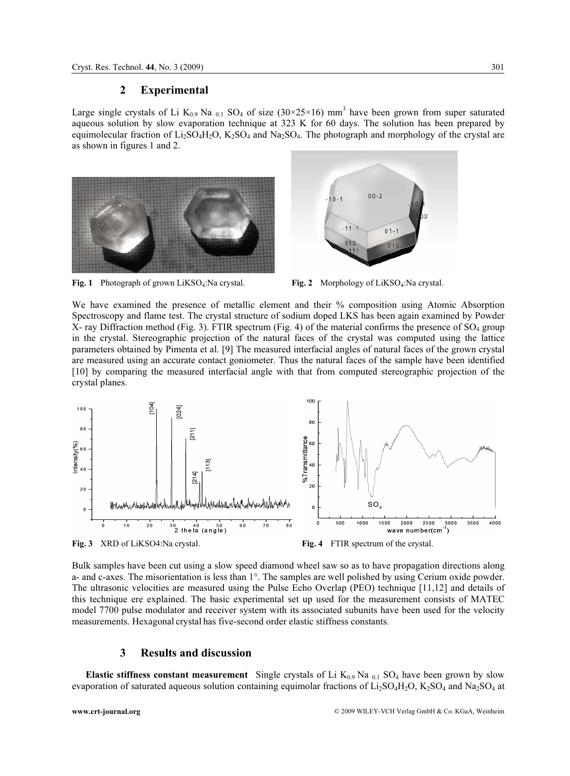#### 2 Experimental

Large single crystals of Li  $K_{0.9}$  Na  $_{0.1}$  SO<sub>4</sub> of size (30×25×16) mm<sup>3</sup> have been grown from super saturated aqueous solution by slow evaporation technique at 323 K for 60 days. The solution has been prepared by equimolecular fraction of  $Li_2SO_4H_2O$ ,  $K_2SO_4$  and  $Na_2SO_4$ . The photograph and morphology of the crystal are as shown in figures 1 and 2.







We have examined the presence of metallic element and their % composition using Atomic Absorption Spectroscopy and flame test. The crystal structure of sodium doped LKS has been again examined by Powder X- ray Diffraction method (Fig. 3). FTIR spectrum (Fig. 4) of the material confirms the presence of  $\text{SO}_4$  group in the crystal. Stereographic projection of the natural faces of the crystal was computed using the lattice parameters obtained by Pimenta et al. [9] The measured interfacial angles of natural faces of the grown crystal are measured using an accurate contact goniometer. Thus the natural faces of the sample have been identified [10] by comparing the measured interfacial angle with that from computed stereographic projection of the crystal planes.



Fig. 3 XRD of LiKSO4:Na crystal. Fig. 4 FTIR spectrum of the crystal.

Bulk samples have been cut using a slow speed diamond wheel saw so as to have propagation directions along a- and c-axes. The misorientation is less than 1°. The samples are well polished by using Cerium oxide powder. The ultrasonic velocities are measured using the Pulse Echo Overlap (PEO) technique [11,12] and details of this technique ere explained. The basic experimental set up used for the measurement consists of MATEC model 7700 pulse modulator and receiver system with its associated subunits have been used for the velocity measurements. Hexagonal crystal has five-second order elastic stiffness constants.

## 3 Results and discussion

**Elastic stiffness constant measurement** Single crystals of Li  $K_{0.9}$  Na  $_{0.1}$  SO<sub>4</sub> have been grown by slow evaporation of saturated aqueous solution containing equimolar fractions of  $Li_2SO_4H_2O$ ,  $K_2SO_4$  and Na<sub>2</sub>SO<sub>4</sub> at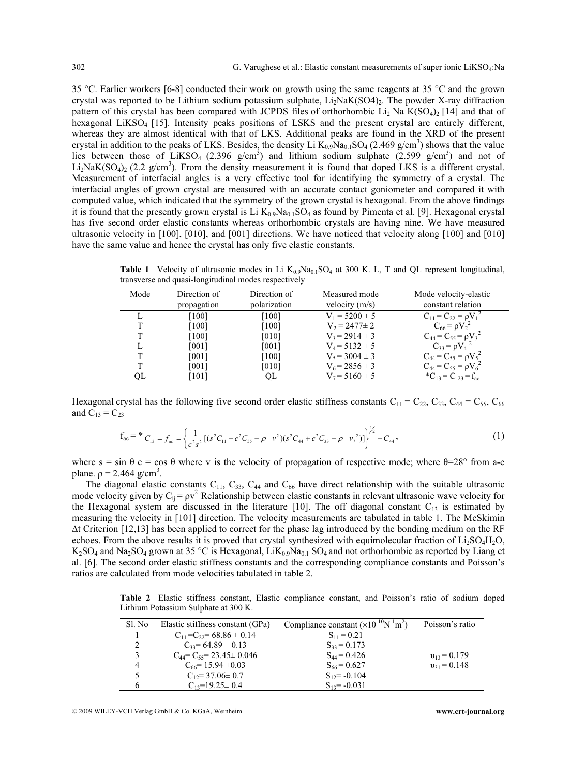35 °C. Earlier workers [6-8] conducted their work on growth using the same reagents at 35 °C and the grown crystal was reported to be Lithium sodium potassium sulphate,  $Li<sub>2</sub>NaK(SO4)<sub>2</sub>$ . The powder X-ray diffraction pattern of this crystal has been compared with JCPDS files of orthorhombic  $Li_2$  Na K(SO<sub>4</sub>)<sub>2</sub> [14] and that of hexagonal LiKSO<sub>4</sub> [15]. Intensity peaks positions of LSKS and the present crystal are entirely different, whereas they are almost identical with that of LKS. Additional peaks are found in the XRD of the present crystal in addition to the peaks of LKS. Besides, the density Li  $K_{0.9}Na_{0.1}SO_4$  (2.469 g/cm<sup>3</sup>) shows that the value lies between those of LiKSO<sub>4</sub> (2.396 g/cm<sup>3</sup>) and lithium sodium sulphate (2.599 g/cm<sup>3</sup>) and not of  $Li_2NaK(SO_4)_2$  (2.2 g/cm<sup>3</sup>). From the density measurement it is found that doped LKS is a different crystal. Measurement of interfacial angles is a very effective tool for identifying the symmetry of a crystal. The interfacial angles of grown crystal are measured with an accurate contact goniometer and compared it with computed value, which indicated that the symmetry of the grown crystal is hexagonal. From the above findings it is found that the presently grown crystal is Li  $K_{0.9}Na_{0.1}SO_4$  as found by Pimenta et al. [9]. Hexagonal crystal has five second order elastic constants whereas orthorhombic crystals are having nine. We have measured ultrasonic velocity in [100], [010], and [001] directions. We have noticed that velocity along [100] and [010] have the same value and hence the crystal has only five elastic constants.

Table 1 Velocity of ultrasonic modes in Li  $K_{0.9}Na_{0.1}SO_4$  at 300 K. L, T and QL represent longitudinal, transverse and quasi-longitudinal modes respectively

| Mode | Direction of<br>propagation | Direction of<br>polarization | Measured mode<br>velocity $(m/s)$ | Mode velocity-elastic<br>constant relation |
|------|-----------------------------|------------------------------|-----------------------------------|--------------------------------------------|
|      | [100]                       | [100]                        | $V_1 = 5200 \pm 5$                | $C_{11} = C_{22} = \rho V_1^2$             |
|      | [100]                       | $[100]$                      | $V_2 = 2477 \pm 2$                | $C_{66} = \rho V_2^2$                      |
|      | [100]                       | [010]                        | $V_3 = 2914 \pm 3$                | $C_{44} = C_{55} = \rho V_3^2$             |
|      | [001]                       | [001]                        | $V_4 = 5132 \pm 5$                | $C_{33} = \rho V_4^2$                      |
|      | [001]                       | [100]                        | $V_5 = 3004 \pm 3$                | $C_{44} = C_{55} = \rho V_5^2$             |
|      | [001]                       | [010]                        | $V_6$ = 2856 $\pm$ 3              | $C_{44} = C_{55} = \rho V_6^2$             |
| OL   | [101]                       | OL                           | $V_7 = 5160 \pm 5$                | ${}^{\ast}C_{13} = C_{23} = f_{ac}$        |

Hexagonal crystal has the following five second order elastic stiffness constants  $C_{11} = C_{22}$ ,  $C_{33}$ ,  $C_{44} = C_{55}$ ,  $C_{66}$ and  $C_{13} = C_{23}$ 

$$
\mathbf{f}_{ac} = \mathbf{f}_{ac} = \left\{ \frac{1}{c^2 s^2} \left[ (s^2 C_{11} + c^2 C_{55} - \rho \ \mathbf{v}^2)(s^2 C_{44} + c^2 C_{33} - \rho \ \mathbf{v}^2) \right] \right\}^{\frac{1}{2}} - C_{44},
$$
\n(1)

where  $s = \sin \theta$  c = cos  $\theta$  where v is the velocity of propagation of respective mode; where  $\theta = 28^\circ$  from a-c plane.  $p = 2.464$  g/cm<sup>3</sup>.

The diagonal elastic constants  $C_{11}$ ,  $C_{33}$ ,  $C_{44}$  and  $C_{66}$  have direct relationship with the suitable ultrasonic mode velocity given by  $C_{ij} = \rho v^2$ . Relationship between elastic constants in relevant ultrasonic wave velocity for the Hexagonal system are discussed in the literature [10]. The off diagonal constant  $C_{13}$  is estimated by measuring the velocity in [101] direction. The velocity measurements are tabulated in table 1. The McSkimin ∆t Criterion [12,13] has been applied to correct for the phase lag introduced by the bonding medium on the RF echoes. From the above results it is proved that crystal synthesized with equimolecular fraction of  $Li<sub>2</sub>SO<sub>4</sub>H<sub>2</sub>O$ ,  $K_2SO_4$  and Na<sub>2</sub>SO<sub>4</sub> grown at 35 °C is Hexagonal, Li $K_{0.9}Na_{0.1}SO_4$  and not orthorhombic as reported by Liang et al. [6]. The second order elastic stiffness constants and the corresponding compliance constants and Poisson's ratios are calculated from mode velocities tabulated in table 2.

Table 2 Elastic stiffness constant, Elastic compliance constant, and Poisson's ratio of sodium doped Lithium Potassium Sulphate at 300 K.

| Sl. No         | Elastic stiffness constant (GPa)    | Compliance constant $(\times 10^{-10} N^{-1} m^2)$ | Poisson's ratio  |
|----------------|-------------------------------------|----------------------------------------------------|------------------|
|                | $C_{11} = C_{22} = 68.86 \pm 0.14$  | $S_{11} = 0.21$                                    |                  |
|                | $C_{33} = 64.89 \pm 0.13$           | $S_{33} = 0.173$                                   |                  |
|                | $C_{44} = C_{55} = 23.45 \pm 0.046$ | $S_{44} = 0.426$                                   | $v_{13} = 0.179$ |
| $\overline{4}$ | $C_{66}$ = 15.94 $\pm$ 0.03         | $S_{66} = 0.627$                                   | $v_{31} = 0.148$ |
|                | $C_{12} = 37.06 \pm 0.7$            | $S_{12} = -0.104$                                  |                  |
| h              | $C_{13}=19.25\pm0.4$                | $S_{13} = -0.031$                                  |                  |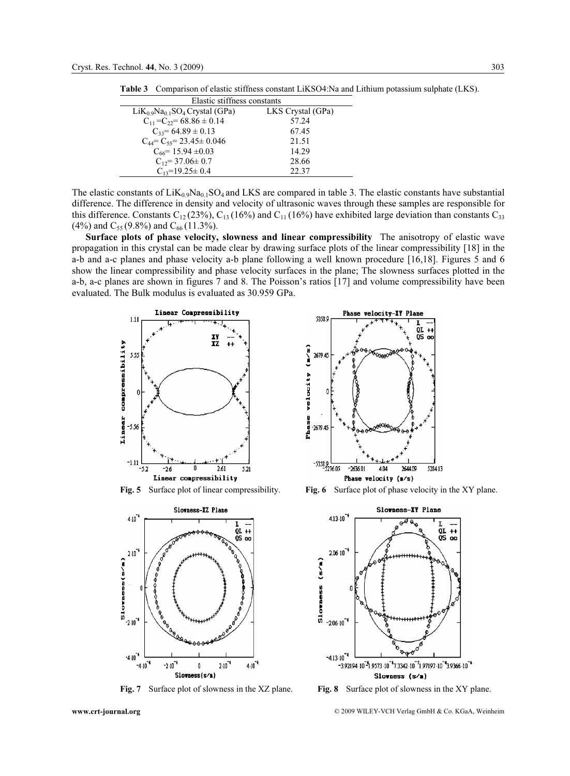Table 3 Comparison of elastic stiffness constant LiKSO4:Na and Lithium potassium sulphate (LKS).

| Elastic stiffness constants                                          |                   |  |  |  |
|----------------------------------------------------------------------|-------------------|--|--|--|
| $LiK_0$ <sub>9</sub> Na <sub>0.1</sub> SO <sub>4</sub> Crystal (GPa) | LKS Crystal (GPa) |  |  |  |
| $C_{11}$ = $C_{22}$ = 68.86 $\pm$ 0.14                               | 57.24             |  |  |  |
| $C_{33} = 64.89 \pm 0.13$                                            | 67.45             |  |  |  |
| $C_{44} = C_{55} = 23.45 \pm 0.046$                                  | 21.51             |  |  |  |
| $C_{66}$ = 15.94 $\pm 0.03$                                          | 14.29             |  |  |  |
| $C_{12} = 37.06 \pm 0.7$                                             | 28.66             |  |  |  |
| $C_{13}=19.25\pm0.4$                                                 | 22.37             |  |  |  |

The elastic constants of  $LiK_{0.9}Na_{0.1}SO_4$  and LKS are compared in table 3. The elastic constants have substantial difference. The difference in density and velocity of ultrasonic waves through these samples are responsible for this difference. Constants  $C_{12}$  (23%),  $C_{13}$  (16%) and  $C_{11}$  (16%) have exhibited large deviation than constants  $C_{33}$ (4%) and  $C_{55}$  (9.8%) and  $C_{66}$  (11.3%).

Surface plots of phase velocity, slowness and linear compressibility The anisotropy of elastic wave propagation in this crystal can be made clear by drawing surface plots of the linear compressibility [18] in the a-b and a-c planes and phase velocity a-b plane following a well known procedure [16,18]. Figures 5 and 6 show the linear compressibility and phase velocity surfaces in the plane; The slowness surfaces plotted in the a-b, a-c planes are shown in figures 7 and 8. The Poisson's ratios [17] and volume compressibility have been evaluated. The Bulk modulus is evaluated as 30.959 GPa.







Fig. 5 Surface plot of linear compressibility. Fig. 6 Surface plot of phase velocity in the XY plane.



Fig. 7 Surface plot of slowness in the XZ plane. Fig. 8 Surface plot of slowness in the XY plane.